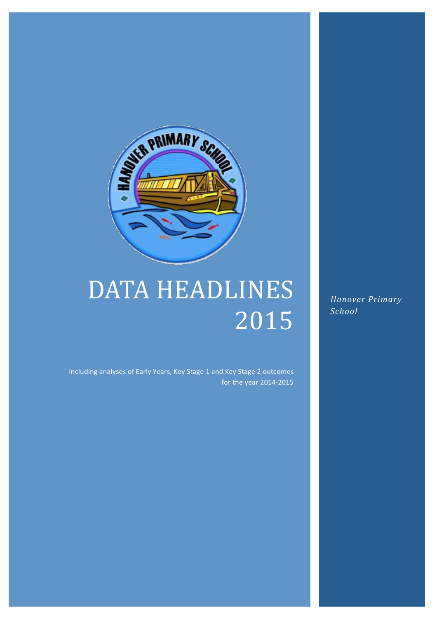

# DATA HEADLINES 2015

*Hanover Primary School*

Including analyses of Early Years, Key Stage 1 and Key Stage 2 outcomes for the year 2014-2015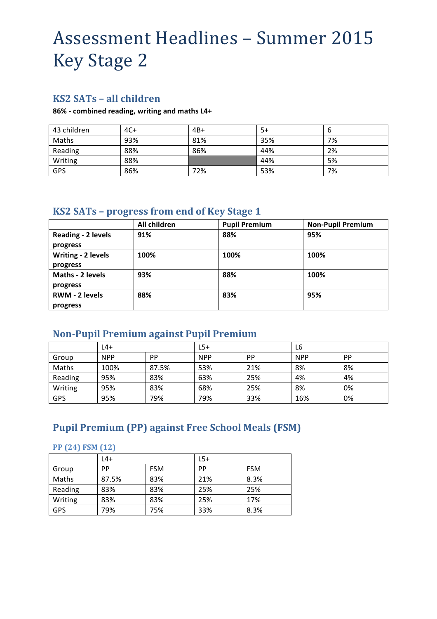# Assessment Headlines - Summer 2015 Key Stage 2

### **KS2 SATs – all children**

#### **86% - combined reading, writing and maths L4+**

| 43 children | $4C+$ | $4B+$ | 5+  | b  |
|-------------|-------|-------|-----|----|
| Maths       | 93%   | 81%   | 35% | 7% |
| Reading     | 88%   | 86%   | 44% | 2% |
| Writing     | 88%   |       | 44% | 5% |
| GPS         | 86%   | 72%   | 53% | 7% |

### **KS2 SATs - progress from end of Key Stage 1**

|                       | All children | <b>Pupil Premium</b> | <b>Non-Pupil Premium</b> |
|-----------------------|--------------|----------------------|--------------------------|
| Reading - 2 levels    | 91%          | 88%                  | 95%                      |
| progress              |              |                      |                          |
| Writing - 2 levels    | 100%         | 100%                 | 100%                     |
| progress              |              |                      |                          |
| Maths - 2 levels      | 93%          | 88%                  | 100%                     |
| progress              |              |                      |                          |
| <b>RWM - 2 levels</b> | 88%          | 83%                  | 95%                      |
| progress              |              |                      |                          |

### **Non-Pupil Premium against Pupil Premium**

|         | L4+        |           | $L5+$      |           | L6         |           |
|---------|------------|-----------|------------|-----------|------------|-----------|
| Group   | <b>NPP</b> | <b>PP</b> | <b>NPP</b> | <b>PP</b> | <b>NPP</b> | <b>PP</b> |
| Maths   | 100%       | 87.5%     | 53%        | 21%       | 8%         | 8%        |
| Reading | 95%        | 83%       | 63%        | 25%       | 4%         | 4%        |
| Writing | 95%        | 83%       | 68%        | 25%       | 8%         | 0%        |
| GPS     | 95%        | 79%       | 79%        | 33%       | 16%        | 0%        |

## **Pupil Premium (PP) against Free School Meals (FSM)**

#### **PP (24) FSM (12)**

|            | $L4+$ |            | $L5+$ |            |
|------------|-------|------------|-------|------------|
| Group      | РP    | <b>FSM</b> | PP    | <b>FSM</b> |
| Maths      | 87.5% | 83%        | 21%   | 8.3%       |
| Reading    | 83%   | 83%        | 25%   | 25%        |
| Writing    | 83%   | 83%        | 25%   | 17%        |
| <b>GPS</b> | 79%   | 75%        | 33%   | 8.3%       |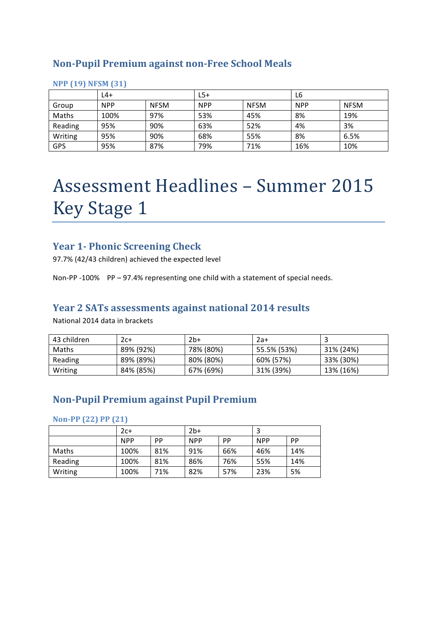### **Non-Pupil Premium against non-Free School Meals**

|         | L4+        |             | L5+        |             | L6         |             |
|---------|------------|-------------|------------|-------------|------------|-------------|
| Group   | <b>NPP</b> | <b>NFSM</b> | <b>NPP</b> | <b>NFSM</b> | <b>NPP</b> | <b>NFSM</b> |
| Maths   | 100%       | 97%         | 53%        | 45%         | 8%         | 19%         |
| Reading | 95%        | 90%         | 63%        | 52%         | 4%         | 3%          |
| Writing | 95%        | 90%         | 68%        | 55%         | 8%         | 6.5%        |
| GPS     | 95%        | 87%         | 79%        | 71%         | 16%        | 10%         |

#### **NPP (19) NFSM (31)**

# Assessment Headlines - Summer 2015 **Key Stage 1**

### **Year 1- Phonic Screening Check**

97.7% (42/43 children) achieved the expected level

Non-PP -100% PP – 97.4% representing one child with a statement of special needs.

### Year 2 SATs assessments against national 2014 results

National 2014 data in brackets

| 43 children  | 2с+       | $2b+$     | $2a+$       |           |
|--------------|-----------|-----------|-------------|-----------|
| <b>Maths</b> | 89% (92%) | 78% (80%) | 55.5% (53%) | 31% (24%) |
| Reading      | 89% (89%) | 80% (80%) | 60% (57%)   | 33% (30%) |
| Writing      | 84% (85%) | 67% (69%) | 31% (39%)   | 13% (16%) |

### **Non-Pupil Premium against Pupil Premium**

**Non-PP (22) PP (21)**

|              | $2c+$      |     | $2b+$      |     |            |     |
|--------------|------------|-----|------------|-----|------------|-----|
|              | <b>NPP</b> | PP  | <b>NPP</b> | PP  | <b>NPP</b> | PP  |
| <b>Maths</b> | 100%       | 81% | 91%        | 66% | 46%        | 14% |
| Reading      | 100%       | 81% | 86%        | 76% | 55%        | 14% |
| Writing      | 100%       | 71% | 82%        | 57% | 23%        | 5%  |